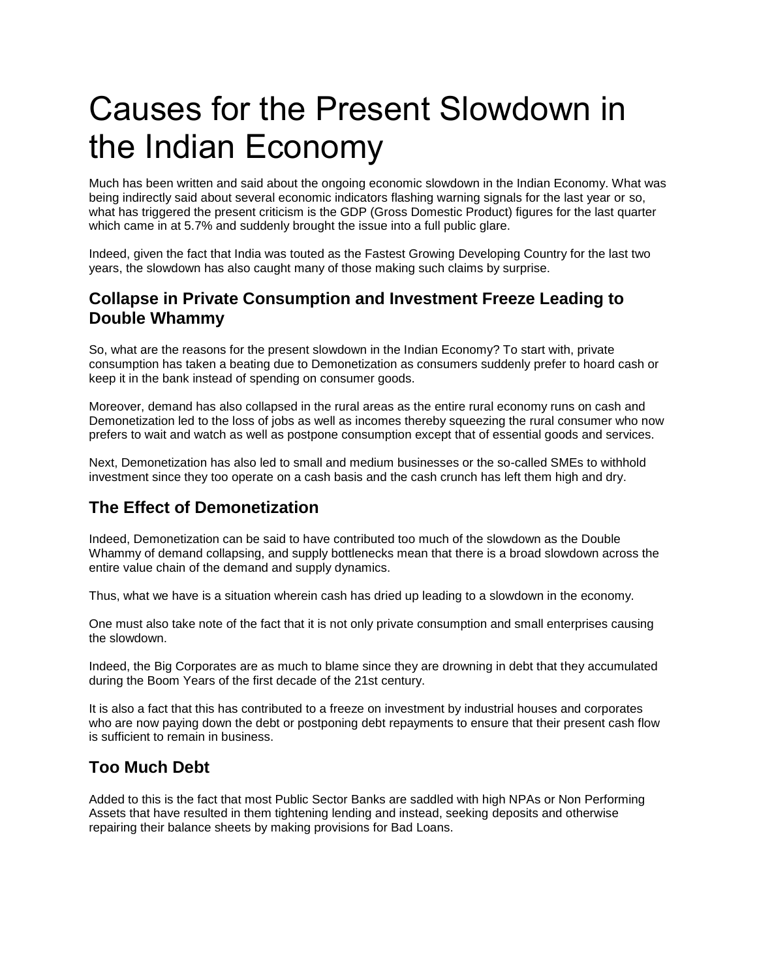# Causes for the Present Slowdown in the Indian Economy

Much has been written and said about the ongoing economic slowdown in the Indian Economy. What was being indirectly said about several economic indicators flashing warning signals for the last year or so, what has triggered the present criticism is the GDP (Gross Domestic Product) figures for the last quarter which came in at 5.7% and suddenly brought the issue into a full public glare.

Indeed, given the fact that India was touted as the Fastest Growing Developing Country for the last two years, the slowdown has also caught many of those making such claims by surprise.

## **Collapse in Private Consumption and Investment Freeze Leading to Double Whammy**

So, what are the reasons for the present slowdown in the Indian Economy? To start with, private consumption has taken a beating due to Demonetization as consumers suddenly prefer to hoard cash or keep it in the bank instead of spending on consumer goods.

Moreover, demand has also collapsed in the rural areas as the entire rural economy runs on cash and Demonetization led to the loss of jobs as well as incomes thereby squeezing the rural consumer who now prefers to wait and watch as well as postpone consumption except that of essential goods and services.

Next, Demonetization has also led to small and medium businesses or the so-called SMEs to withhold investment since they too operate on a cash basis and the cash crunch has left them high and dry.

## **The Effect of Demonetization**

Indeed, Demonetization can be said to have contributed too much of the slowdown as the Double Whammy of demand collapsing, and supply bottlenecks mean that there is a broad slowdown across the entire value chain of the demand and supply dynamics.

Thus, what we have is a situation wherein cash has dried up leading to a slowdown in the economy.

One must also take note of the fact that it is not only private consumption and small enterprises causing the slowdown.

Indeed, the Big Corporates are as much to blame since they are drowning in debt that they accumulated during the Boom Years of the first decade of the 21st century.

It is also a fact that this has contributed to a freeze on investment by industrial houses and corporates who are now paying down the debt or postponing debt repayments to ensure that their present cash flow is sufficient to remain in business.

## **Too Much Debt**

Added to this is the fact that most Public Sector Banks are saddled with high NPAs or Non Performing Assets that have resulted in them tightening lending and instead, seeking deposits and otherwise repairing their balance sheets by making provisions for Bad Loans.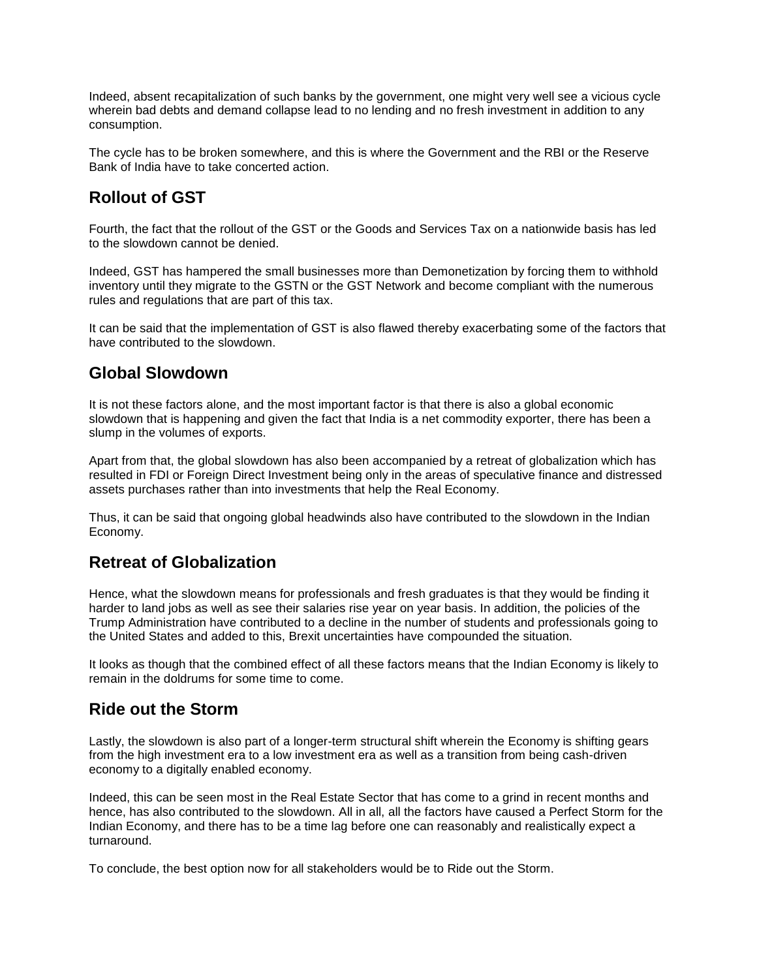Indeed, absent recapitalization of such banks by the government, one might very well see a vicious cycle wherein bad debts and demand collapse lead to no lending and no fresh investment in addition to any consumption.

The cycle has to be broken somewhere, and this is where the Government and the RBI or the Reserve Bank of India have to take concerted action.

## **Rollout of GST**

Fourth, the fact that the rollout of the GST or the Goods and Services Tax on a nationwide basis has led to the slowdown cannot be denied.

Indeed, GST has hampered the small businesses more than Demonetization by forcing them to withhold inventory until they migrate to the GSTN or the GST Network and become compliant with the numerous rules and regulations that are part of this tax.

It can be said that the implementation of GST is also flawed thereby exacerbating some of the factors that have contributed to the slowdown.

## **Global Slowdown**

It is not these factors alone, and the most important factor is that there is also a global economic slowdown that is happening and given the fact that India is a net commodity exporter, there has been a slump in the volumes of exports.

Apart from that, the global slowdown has also been accompanied by a retreat of globalization which has resulted in FDI or Foreign Direct Investment being only in the areas of speculative finance and distressed assets purchases rather than into investments that help the Real Economy.

Thus, it can be said that ongoing global headwinds also have contributed to the slowdown in the Indian Economy.

## **Retreat of Globalization**

Hence, what the slowdown means for professionals and fresh graduates is that they would be finding it harder to land jobs as well as see their salaries rise year on year basis. In addition, the policies of the Trump Administration have contributed to a decline in the number of students and professionals going to the United States and added to this, Brexit uncertainties have compounded the situation.

It looks as though that the combined effect of all these factors means that the Indian Economy is likely to remain in the doldrums for some time to come.

## **Ride out the Storm**

Lastly, the slowdown is also part of a longer-term structural shift wherein the Economy is shifting gears from the high investment era to a low investment era as well as a transition from being cash-driven economy to a digitally enabled economy.

Indeed, this can be seen most in the Real Estate Sector that has come to a grind in recent months and hence, has also contributed to the slowdown. All in all, all the factors have caused a Perfect Storm for the Indian Economy, and there has to be a time lag before one can reasonably and realistically expect a turnaround.

To conclude, the best option now for all stakeholders would be to Ride out the Storm.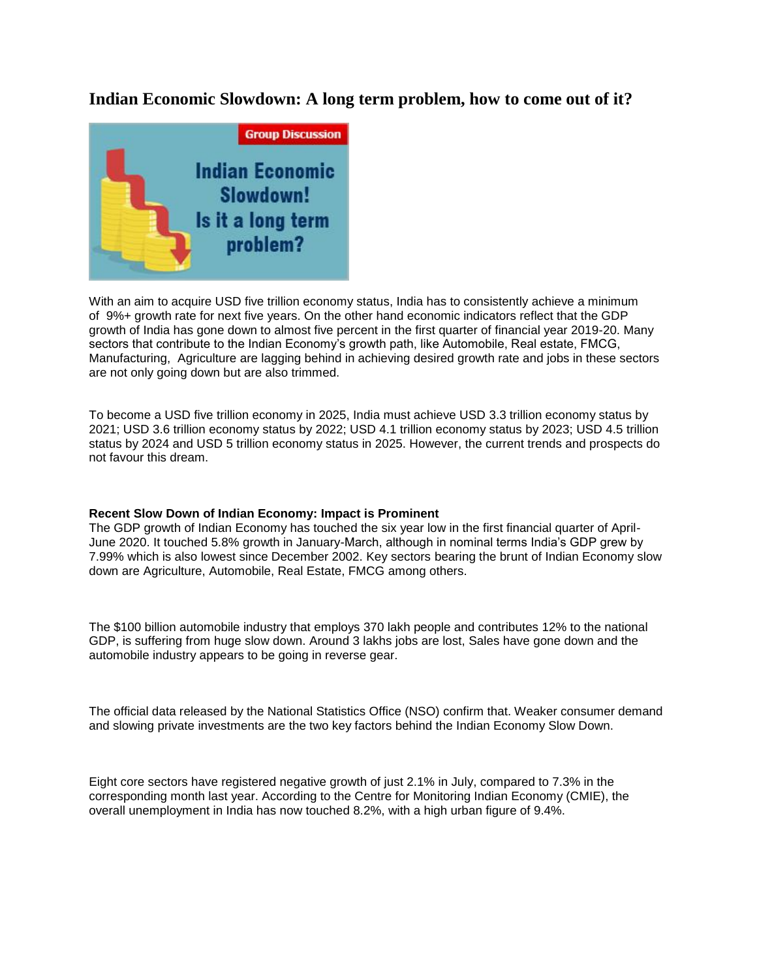### **Indian Economic Slowdown: A long term problem, how to come out of it?**



With an aim to acquire USD five trillion economy status, India has to consistently achieve a minimum of 9%+ growth rate for next five years. On the other hand economic indicators reflect that the GDP growth of India has gone down to almost five percent in the first quarter of financial year 2019-20. Many sectors that contribute to the Indian Economy's growth path, like Automobile, Real estate, FMCG, Manufacturing, Agriculture are lagging behind in achieving desired growth rate and jobs in these sectors are not only going down but are also trimmed[.](javascript:void(0);)

To become a USD five trillion economy in 2025, India must achieve USD 3.3 trillion economy status by 2021; USD 3.6 trillion economy status by 2022; USD 4.1 trillion economy status by 2023; USD 4.5 trillion status by 2024 and USD 5 trillion economy status in 2025. However, the current trends and prospects do not favour this dream.

#### **Recent Slow Down of Indian Economy: Impact is Prominent**

The GDP growth of Indian Economy has touched the six year low in the first financial quarter of April-June 2020. It touched 5.8% growth in January-March, although in nominal terms India's GDP grew by 7.99% which is also lowest since December 2002. Key sectors bearing the brunt of Indian Economy slow down are Agriculture, Automobile, Real Estate, FMCG among others.

The \$100 billion automobile industry that employs 370 lakh people and contributes 12% to the national GDP, is suffering from huge slow down. Around 3 lakhs jobs are lost, Sales have gone down and the automobile industry appears to be going in reverse gear.

The official data released by the National Statistics Office (NSO) confirm that. Weaker consumer demand and slowing private investments are the two key factors behind the Indian Economy Slow Down.

Eight core sectors have registered negative growth of just 2.1% in July, compared to 7.3% in the corresponding month last year. According to the Centre for Monitoring Indian Economy (CMIE), the overall unemployment in India has now touched 8.2%, with a high urban figure of 9.4%.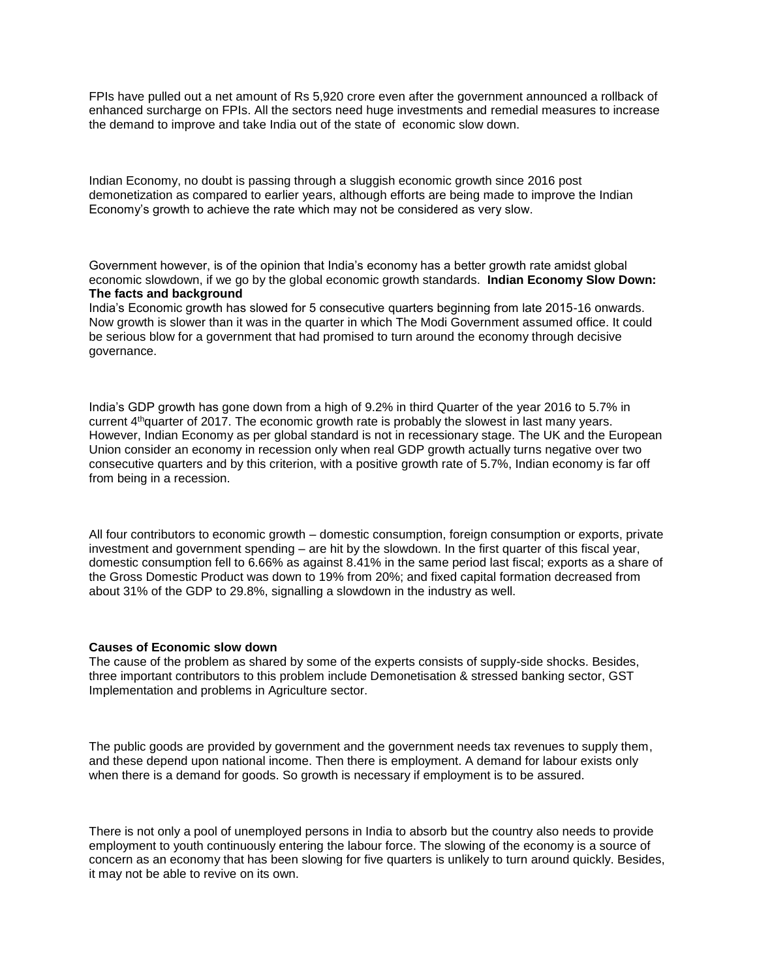FPIs have pulled out a net amount of Rs 5,920 crore even after the government announced a rollback of enhanced surcharge on FPIs. All the sectors need huge investments and remedial measures to increase the demand to improve and take India out of the state of economic slow down.

Indian Economy, no doubt is passing through a sluggish economic growth since 2016 post demonetization as compared to earlier years, although efforts are being made to improve the Indian Economy's growth to achieve the rate which may not be considered as very slow.

Government however, is of the opinion that India's economy has a better growth rate amidst global economic slowdown, if we go by the global economic growth standards. **Indian Economy Slow Down: The facts and background**

India's Economic growth has slowed for 5 consecutive quarters beginning from late 2015-16 onwards. Now growth is slower than it was in the quarter in which The Modi Government assumed office. It could be serious blow for a government that had promised to turn around the economy through decisive governance.

India's GDP growth has gone down from a high of 9.2% in third Quarter of the year 2016 to 5.7% in current 4thquarter of 2017. The economic growth rate is probably the slowest in last many years. However, Indian Economy as per global standard is not in recessionary stage. The UK and the European Union consider an economy in recession only when real GDP growth actually turns negative over two consecutive quarters and by this criterion, with a positive growth rate of 5.7%, Indian economy is far off from being in a recession.

All four contributors to economic growth – domestic consumption, foreign consumption or exports, private investment and government spending – are hit by the slowdown. In the first quarter of this fiscal year, domestic consumption fell to 6.66% as against 8.41% in the same period last fiscal; exports as a share of the Gross Domestic Product was down to 19% from 20%; and fixed capital formation decreased from about 31% of the GDP to 29.8%, signalling a slowdown in the industry as well.

#### **Causes of Economic slow down**

The cause of the problem as shared by some of the experts consists of supply-side shocks. Besides, three important contributors to this problem include Demonetisation & stressed banking sector, GST Implementation and problems in Agriculture sector.

The public goods are provided by government and the government needs tax revenues to supply them, and these depend upon national income. Then there is employment. A demand for labour exists only when there is a demand for goods. So growth is necessary if employment is to be assured.

There is not only a pool of unemployed persons in India to absorb but the country also needs to provide employment to youth continuously entering the labour force. The slowing of the economy is a source of concern as an economy that has been slowing for five quarters is unlikely to turn around quickly. Besides, it may not be able to revive on its own.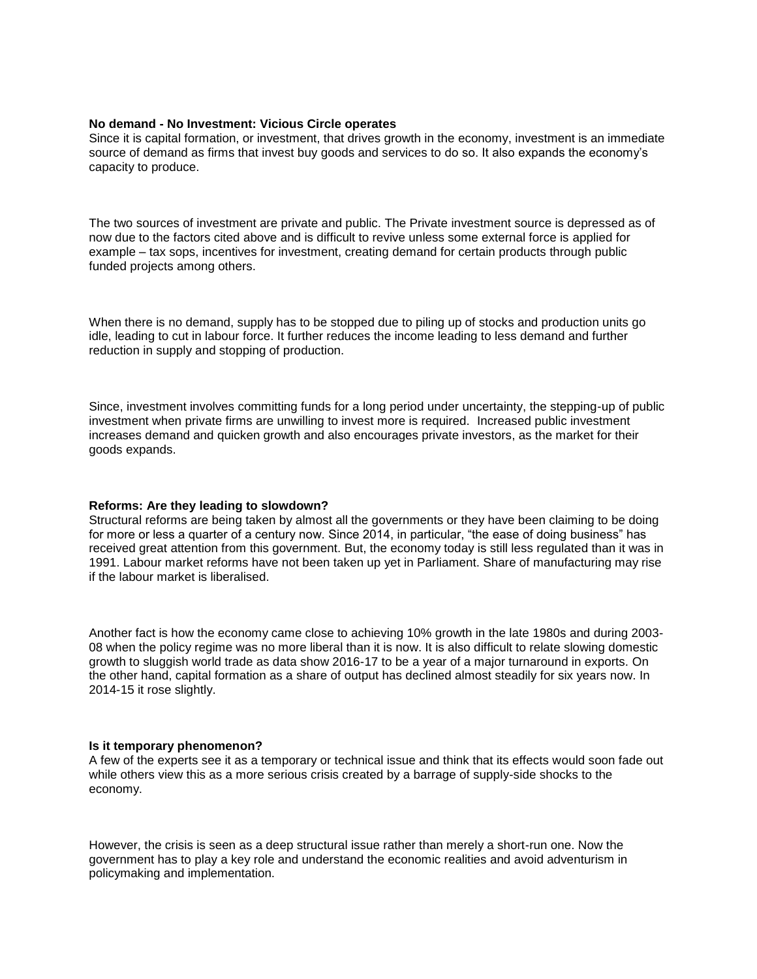#### **No demand - No Investment: Vicious Circle operates**

Since it is capital formation, or investment, that drives growth in the economy, investment is an immediate source of demand as firms that invest buy goods and services to do so. It also expands the economy's capacity to produce.

The two sources of investment are private and public. The Private investment source is depressed as of now due to the factors cited above and is difficult to revive unless some external force is applied for example – tax sops, incentives for investment, creating demand for certain products through public funded projects among others.

When there is no demand, supply has to be stopped due to piling up of stocks and production units go idle, leading to cut in labour force. It further reduces the income leading to less demand and further reduction in supply and stopping of production.

Since, investment involves committing funds for a long period under uncertainty, the stepping-up of public investment when private firms are unwilling to invest more is required. Increased public investment increases demand and quicken growth and also encourages private investors, as the market for their goods expands.

#### **Reforms: Are they leading to slowdown?**

Structural reforms are being taken by almost all the governments or they have been claiming to be doing for more or less a quarter of a century now. Since 2014, in particular, "the ease of doing business" has received great attention from this government. But, the economy today is still less regulated than it was in 1991. Labour market reforms have not been taken up yet in Parliament. Share of manufacturing may rise if the labour market is liberalised.

Another fact is how the economy came close to achieving 10% growth in the late 1980s and during 2003- 08 when the policy regime was no more liberal than it is now. It is also difficult to relate slowing domestic growth to sluggish world trade as data show 2016-17 to be a year of a major turnaround in exports. On the other hand, capital formation as a share of output has declined almost steadily for six years now. In 2014-15 it rose slightly.

#### **Is it temporary phenomenon?**

A few of the experts see it as a temporary or technical issue and think that its effects would soon fade out while others view this as a more serious crisis created by a barrage of supply-side shocks to the economy.

However, the crisis is seen as a deep structural issue rather than merely a short-run one. Now the government has to play a key role and understand the economic realities and avoid adventurism in policymaking and implementation.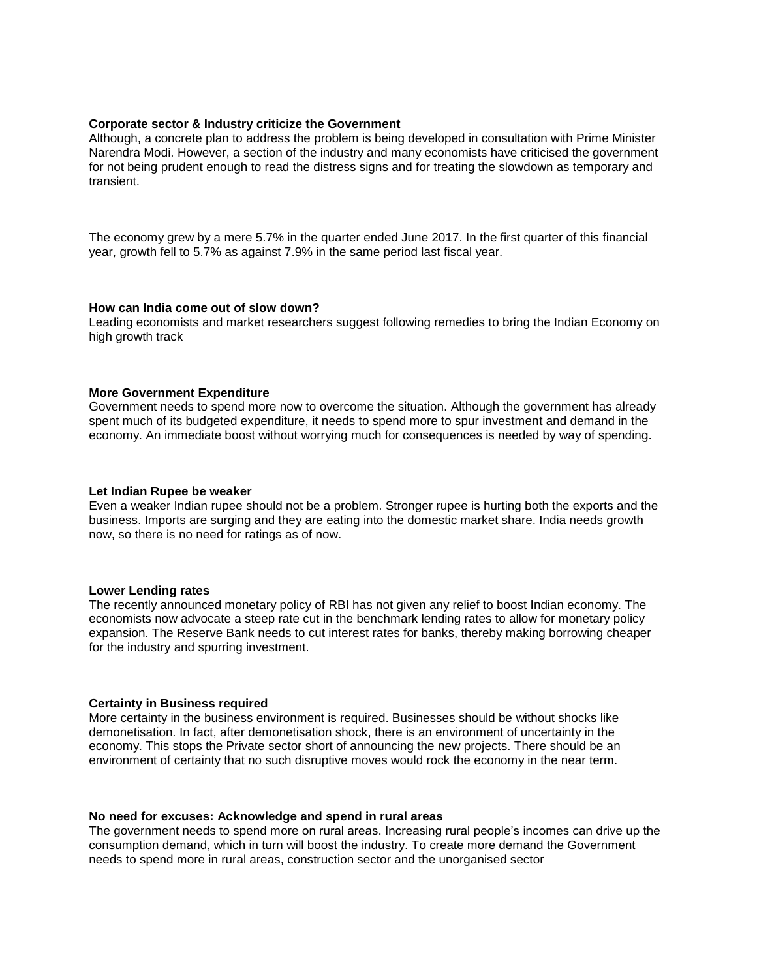#### **Corporate sector & Industry criticize the Government**

Although, a concrete plan to address the problem is being developed in consultation with Prime Minister Narendra Modi. However, a section of the industry and many economists have criticised the government for not being prudent enough to read the distress signs and for treating the slowdown as temporary and transient.

The economy grew by a mere 5.7% in the quarter ended June 2017. In the first quarter of this financial year, growth fell to 5.7% as against 7.9% in the same period last fiscal year.

#### **How can India come out of slow down?**

Leading economists and market researchers suggest following remedies to bring the Indian Economy on high growth track

#### **More Government Expenditure**

Government needs to spend more now to overcome the situation. Although the government has already spent much of its budgeted expenditure, it needs to spend more to spur investment and demand in the economy. An immediate boost without worrying much for consequences is needed by way of spending.

#### **Let Indian Rupee be weaker**

Even a weaker Indian rupee should not be a problem. Stronger rupee is hurting both the exports and the business. Imports are surging and they are eating into the domestic market share. India needs growth now, so there is no need for ratings as of now.

#### **Lower Lending rates**

The recently announced monetary policy of RBI has not given any relief to boost Indian economy. The economists now advocate a steep rate cut in the benchmark lending rates to allow for monetary policy expansion. The Reserve Bank needs to cut interest rates for banks, thereby making borrowing cheaper for the industry and spurring investment.

#### **Certainty in Business required**

More certainty in the business environment is required. Businesses should be without shocks like demonetisation. In fact, after demonetisation shock, there is an environment of uncertainty in the economy. This stops the Private sector short of announcing the new projects. There should be an environment of certainty that no such disruptive moves would rock the economy in the near term.

#### **No need for excuses: Acknowledge and spend in rural areas**

The government needs to spend more on rural areas. Increasing rural people's incomes can drive up the consumption demand, which in turn will boost the industry. To create more demand the Government needs to spend more in rural areas, construction sector and the unorganised sector